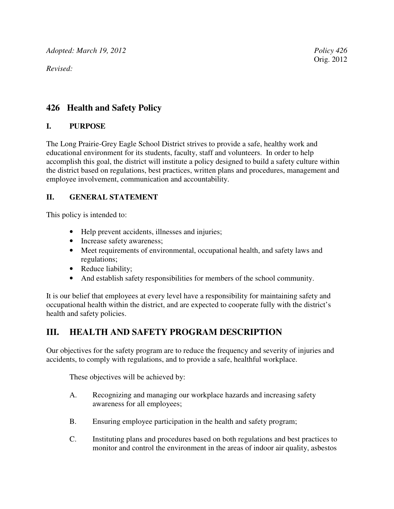*Adopted: March 19, 2012 Policy 426 Policy 426* 

*Revised:* 

### **426 Health and Safety Policy**

#### **I. PURPOSE**

The Long Prairie-Grey Eagle School District strives to provide a safe, healthy work and educational environment for its students, faculty, staff and volunteers. In order to help accomplish this goal, the district will institute a policy designed to build a safety culture within the district based on regulations, best practices, written plans and procedures, management and employee involvement, communication and accountability.

#### **II. GENERAL STATEMENT**

This policy is intended to:

- Help prevent accidents, illnesses and injuries;
- Increase safety awareness;
- Meet requirements of environmental, occupational health, and safety laws and regulations;
- Reduce liability;
- And establish safety responsibilities for members of the school community.

It is our belief that employees at every level have a responsibility for maintaining safety and occupational health within the district, and are expected to cooperate fully with the district's health and safety policies.

# **III. HEALTH AND SAFETY PROGRAM DESCRIPTION**

Our objectives for the safety program are to reduce the frequency and severity of injuries and accidents, to comply with regulations, and to provide a safe, healthful workplace.

These objectives will be achieved by:

- A. Recognizing and managing our workplace hazards and increasing safety awareness for all employees;
- B. Ensuring employee participation in the health and safety program;
- C. Instituting plans and procedures based on both regulations and best practices to monitor and control the environment in the areas of indoor air quality, asbestos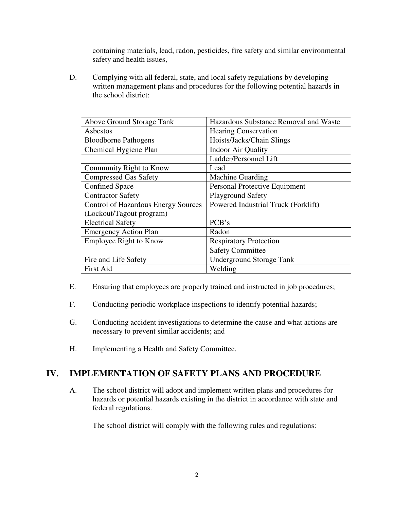containing materials, lead, radon, pesticides, fire safety and similar environmental safety and health issues,

D. Complying with all federal, state, and local safety regulations by developing written management plans and procedures for the following potential hazards in the school district:

| Above Ground Storage Tank                  | Hazardous Substance Removal and Waste |
|--------------------------------------------|---------------------------------------|
| Asbestos                                   | <b>Hearing Conservation</b>           |
| <b>Bloodborne Pathogens</b>                | Hoists/Jacks/Chain Slings             |
| Chemical Hygiene Plan                      | <b>Indoor Air Quality</b>             |
|                                            | Ladder/Personnel Lift                 |
| Community Right to Know                    | Lead                                  |
| <b>Compressed Gas Safety</b>               | <b>Machine Guarding</b>               |
| <b>Confined Space</b>                      | Personal Protective Equipment         |
| <b>Contractor Safety</b>                   | <b>Playground Safety</b>              |
| <b>Control of Hazardous Energy Sources</b> | Powered Industrial Truck (Forklift)   |
| (Lockout/Tagout program)                   |                                       |
| <b>Electrical Safety</b>                   | PCB's                                 |
| <b>Emergency Action Plan</b>               | Radon                                 |
| <b>Employee Right to Know</b>              | <b>Respiratory Protection</b>         |
|                                            | <b>Safety Committee</b>               |
| Fire and Life Safety                       | <b>Underground Storage Tank</b>       |
| <b>First Aid</b>                           | Welding                               |

- E. Ensuring that employees are properly trained and instructed in job procedures;
- F. Conducting periodic workplace inspections to identify potential hazards;
- G. Conducting accident investigations to determine the cause and what actions are necessary to prevent similar accidents; and
- H. Implementing a Health and Safety Committee.

### **IV. IMPLEMENTATION OF SAFETY PLANS AND PROCEDURE**

A. The school district will adopt and implement written plans and procedures for hazards or potential hazards existing in the district in accordance with state and federal regulations.

The school district will comply with the following rules and regulations: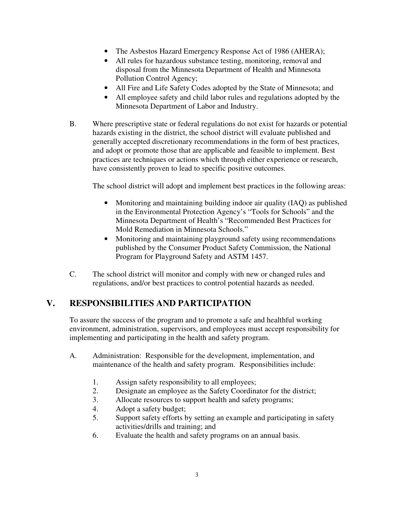- The Asbestos Hazard Emergency Response Act of 1986 (AHERA);
- All rules for hazardous substance testing, monitoring, removal and disposal from the Minnesota Department of Health and Minnesota Pollution Control Agency;
- All Fire and Life Safety Codes adopted by the State of Minnesota; and
- All employee safety and child labor rules and regulations adopted by the Minnesota Department of Labor and Industry.
- B. Where prescriptive state or federal regulations do not exist for hazards or potential hazards existing in the district, the school district will evaluate published and generally accepted discretionary recommendations in the form of best practices, and adopt or promote those that are applicable and feasible to implement. Best practices are techniques or actions which through either experience or research, have consistently proven to lead to specific positive outcomes.

The school district will adopt and implement best practices in the following areas:

- Monitoring and maintaining building indoor air quality (IAQ) as published in the Environmental Protection Agency's "Tools for Schools" and the Minnesota Department of Health's "Recommended Best Practices for Mold Remediation in Minnesota Schools."
- Monitoring and maintaining playground safety using recommendations published by the Consumer Product Safety Commission, the National Program for Playground Safety and ASTM 1457.
- C. The school district will monitor and comply with new or changed rules and regulations, and/or best practices to control potential hazards as needed.

# **V. RESPONSIBILITIES AND PARTICIPATION**

To assure the success of the program and to promote a safe and healthful working environment, administration, supervisors, and employees must accept responsibility for implementing and participating in the health and safety program.

- A. Administration: Responsible for the development, implementation, and maintenance of the health and safety program. Responsibilities include:
	- 1. Assign safety responsibility to all employees;
	- 2. Designate an employee as the Safety Coordinator for the district;
	- 3. Allocate resources to support health and safety programs;
	- 4. Adopt a safety budget;
	- 5. Support safety efforts by setting an example and participating in safety activities/drills and training; and
	- 6. Evaluate the health and safety programs on an annual basis.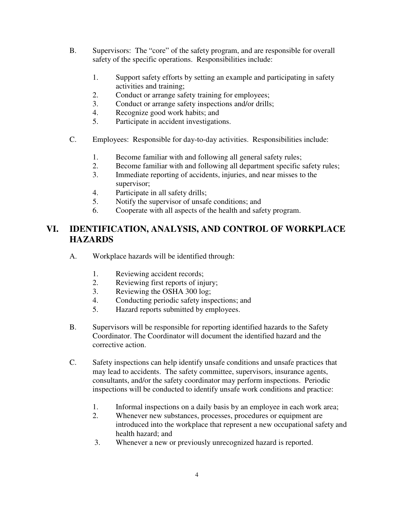- B. Supervisors: The "core" of the safety program, and are responsible for overall safety of the specific operations. Responsibilities include:
	- 1. Support safety efforts by setting an example and participating in safety activities and training;
	- 2. Conduct or arrange safety training for employees;
	- 3. Conduct or arrange safety inspections and/or drills;
	- 4. Recognize good work habits; and
	- 5. Participate in accident investigations.
- C. Employees: Responsible for day-to-day activities. Responsibilities include:
	- 1. Become familiar with and following all general safety rules;
	- 2. Become familiar with and following all department specific safety rules;
	- 3. Immediate reporting of accidents, injuries, and near misses to the supervisor;
	- 4. Participate in all safety drills;
	- 5. Notify the supervisor of unsafe conditions; and
	- 6. Cooperate with all aspects of the health and safety program.

# **VI. IDENTIFICATION, ANALYSIS, AND CONTROL OF WORKPLACE HAZARDS**

- A. Workplace hazards will be identified through:
	- 1. Reviewing accident records;
	- 2. Reviewing first reports of injury;
	- 3. Reviewing the OSHA 300 log;
	- 4. Conducting periodic safety inspections; and
	- 5. Hazard reports submitted by employees.
- B. Supervisors will be responsible for reporting identified hazards to the Safety Coordinator. The Coordinator will document the identified hazard and the corrective action.
- C. Safety inspections can help identify unsafe conditions and unsafe practices that may lead to accidents. The safety committee, supervisors, insurance agents, consultants, and/or the safety coordinator may perform inspections. Periodic inspections will be conducted to identify unsafe work conditions and practice:
	- 1. Informal inspections on a daily basis by an employee in each work area;
	- 2. Whenever new substances, processes, procedures or equipment are introduced into the workplace that represent a new occupational safety and health hazard; and
	- 3. Whenever a new or previously unrecognized hazard is reported.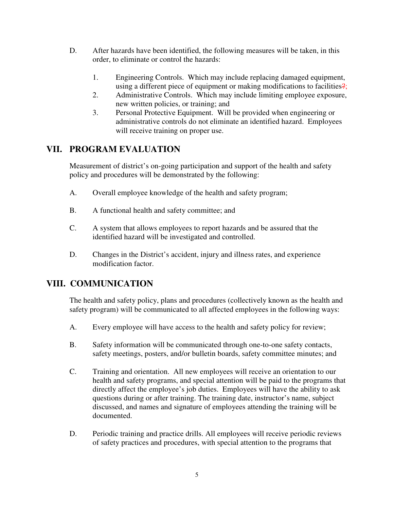- D. After hazards have been identified, the following measures will be taken, in this order, to eliminate or control the hazards:
	- 1. Engineering Controls. Which may include replacing damaged equipment, using a different piece of equipment or making modifications to facilities?;
	- 2. Administrative Controls. Which may include limiting employee exposure, new written policies, or training; and
	- 3. Personal Protective Equipment. Will be provided when engineering or administrative controls do not eliminate an identified hazard. Employees will receive training on proper use.

# **VII. PROGRAM EVALUATION**

Measurement of district's on-going participation and support of the health and safety policy and procedures will be demonstrated by the following:

- A. Overall employee knowledge of the health and safety program;
- B. A functional health and safety committee; and
- C. A system that allows employees to report hazards and be assured that the identified hazard will be investigated and controlled.
- D. Changes in the District's accident, injury and illness rates, and experience modification factor.

# **VIII. COMMUNICATION**

The health and safety policy, plans and procedures (collectively known as the health and safety program) will be communicated to all affected employees in the following ways:

- A. Every employee will have access to the health and safety policy for review;
- B. Safety information will be communicated through one-to-one safety contacts, safety meetings, posters, and/or bulletin boards, safety committee minutes; and
- C. Training and orientation. All new employees will receive an orientation to our health and safety programs, and special attention will be paid to the programs that directly affect the employee's job duties. Employees will have the ability to ask questions during or after training. The training date, instructor's name, subject discussed, and names and signature of employees attending the training will be documented.
- D. Periodic training and practice drills. All employees will receive periodic reviews of safety practices and procedures, with special attention to the programs that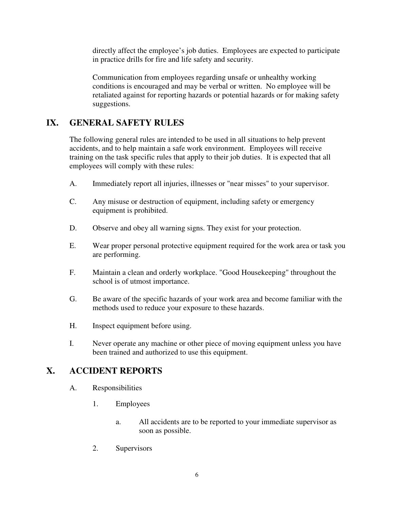directly affect the employee's job duties. Employees are expected to participate in practice drills for fire and life safety and security.

Communication from employees regarding unsafe or unhealthy working conditions is encouraged and may be verbal or written. No employee will be retaliated against for reporting hazards or potential hazards or for making safety suggestions.

### **IX. GENERAL SAFETY RULES**

The following general rules are intended to be used in all situations to help prevent accidents, and to help maintain a safe work environment. Employees will receive training on the task specific rules that apply to their job duties. It is expected that all employees will comply with these rules:

- A. Immediately report all injuries, illnesses or "near misses" to your supervisor.
- C. Any misuse or destruction of equipment, including safety or emergency equipment is prohibited.
- D. Observe and obey all warning signs. They exist for your protection.
- E. Wear proper personal protective equipment required for the work area or task you are performing.
- F. Maintain a clean and orderly workplace. "Good Housekeeping" throughout the school is of utmost importance.
- G. Be aware of the specific hazards of your work area and become familiar with the methods used to reduce your exposure to these hazards.
- H. Inspect equipment before using.
- I. Never operate any machine or other piece of moving equipment unless you have been trained and authorized to use this equipment.

### **X. ACCIDENT REPORTS**

- A. Responsibilities
	- 1. Employees
		- a. All accidents are to be reported to your immediate supervisor as soon as possible.
	- 2. Supervisors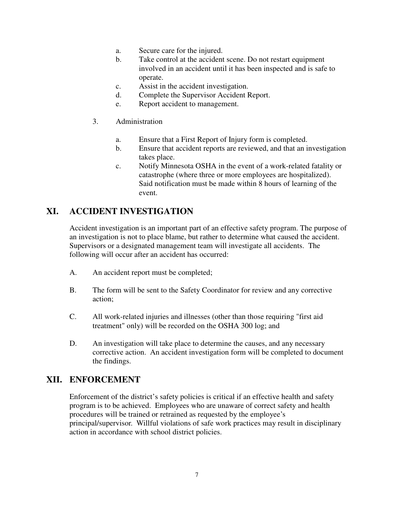- a. Secure care for the injured.
- b. Take control at the accident scene. Do not restart equipment involved in an accident until it has been inspected and is safe to operate.
- c. Assist in the accident investigation.
- d. Complete the Supervisor Accident Report.
- e. Report accident to management.
- 3. Administration
	- a. Ensure that a First Report of Injury form is completed.
	- b. Ensure that accident reports are reviewed, and that an investigation takes place.
	- c. Notify Minnesota OSHA in the event of a work-related fatality or catastrophe (where three or more employees are hospitalized). Said notification must be made within 8 hours of learning of the event.

### **XI. ACCIDENT INVESTIGATION**

Accident investigation is an important part of an effective safety program. The purpose of an investigation is not to place blame, but rather to determine what caused the accident. Supervisors or a designated management team will investigate all accidents. The following will occur after an accident has occurred:

- A. An accident report must be completed;
- B. The form will be sent to the Safety Coordinator for review and any corrective action;
- C. All work-related injuries and illnesses (other than those requiring "first aid treatment" only) will be recorded on the OSHA 300 log; and
- D. An investigation will take place to determine the causes, and any necessary corrective action. An accident investigation form will be completed to document the findings.

### **XII. ENFORCEMENT**

Enforcement of the district's safety policies is critical if an effective health and safety program is to be achieved. Employees who are unaware of correct safety and health procedures will be trained or retrained as requested by the employee's principal/supervisor. Willful violations of safe work practices may result in disciplinary action in accordance with school district policies.